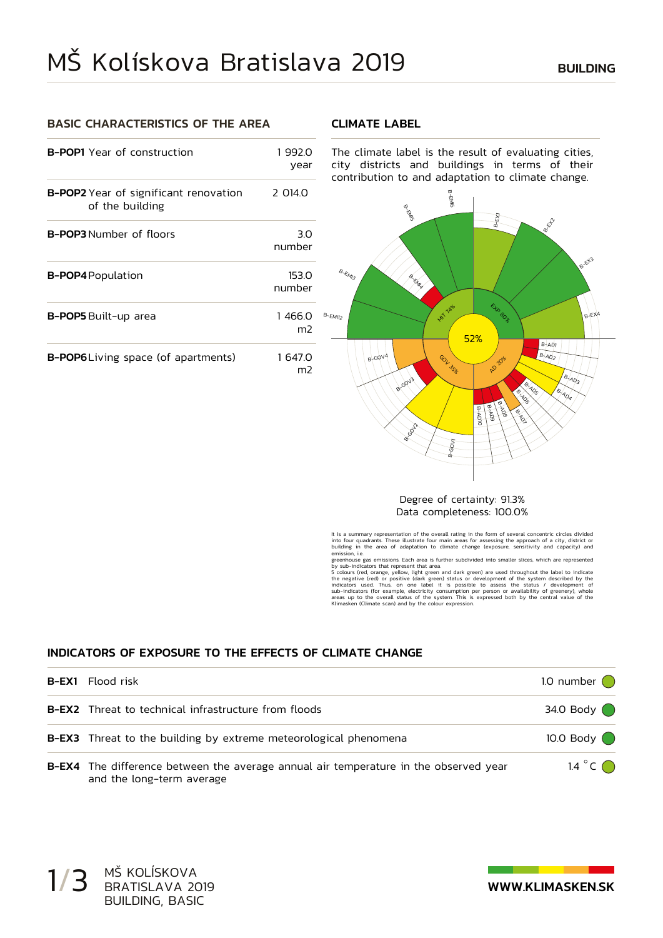### BASIC CHARACTERISTICS OF THE AREA

#### CLIMATE LABEL

| <b>B-POP1</b> Year of construction                              | 1992.0<br>year           |  |
|-----------------------------------------------------------------|--------------------------|--|
| <b>B-POP2</b> Year of significant renovation<br>of the building | 2 014.0                  |  |
| <b>B-POP3</b> Number of floors                                  | 3.0<br>number            |  |
| <b>B-POP4</b> Population                                        | 153.0<br>number          |  |
| <b>B-POP5</b> Built-up area                                     | 1466.0<br>m <sub>2</sub> |  |
| <b>B-POP6</b> Living space (of apartments)                      | 1 647.0<br>m2            |  |

The climate label is the result of evaluating cities, city districts and buildings in terms of their contribution to and adaptation to climate change.



#### Degree of certainty: 91.3% Data completeness: 100.0%

It is a summary representation of the overall rating in the form of several concentric circles divided<br>into four quadrants. These illustrate four main areas for assessing the approach of a city, district or<br>building in t emission, i.e.

greenhouse gas emissions. Each area is further subdivided into smaller slices, which are represented<br>by sub-indicators that represent that area.<br>5 colours (red, orange, yellow, light green and dark green) are used througho Klimasken (Climate scan) and by the colour expression.

### INDICATORS OF EXPOSURE TO THE EFFECTS OF CLIMATE CHANGE

| <b>B-EX1</b> Flood risk                                                                                           | 1.0 number $\bigcap$       |
|-------------------------------------------------------------------------------------------------------------------|----------------------------|
| <b>B-EX2</b> Threat to technical infrastructure from floods                                                       | 34.0 Body $\bigcirc$       |
| <b>B-EX3</b> Threat to the building by extreme meteorological phenomena                                           | 10.0 Body $\bigcirc$       |
| B-EX4 The difference between the average annual air temperature in the observed year<br>and the long-term average | 1.4 $^{\circ}$ C $\bigcap$ |

1/3 MŠ KOLÍSKOVA<br>
BRATISLAVA 2019<br>
MWW.KLIMASKEN.SK BRATISLAVA 2019 BUILDING, BASIC

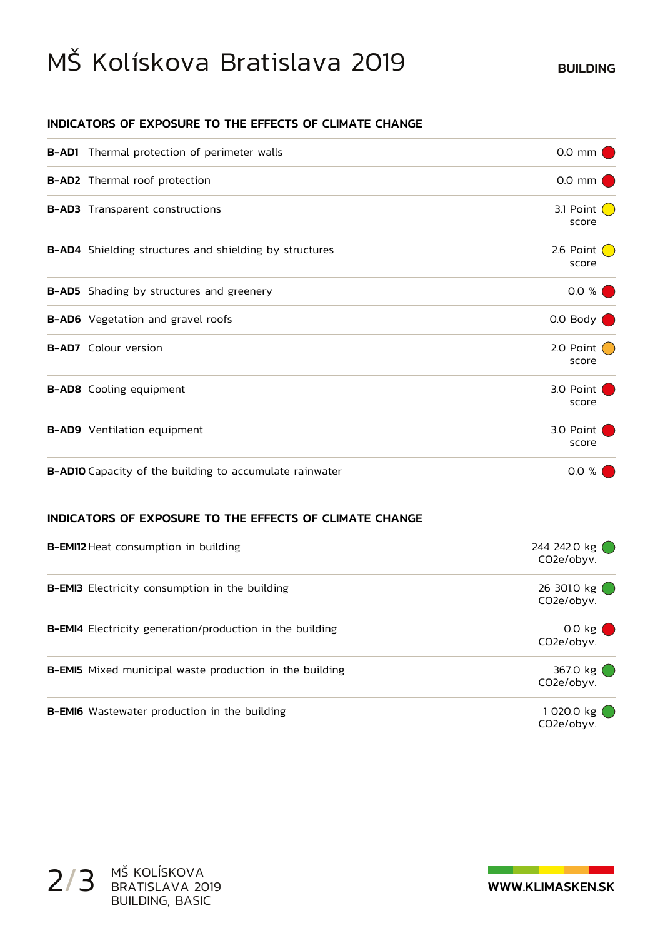# MS Koliskova Bratislava 2019 BUILDING

### INDICATORS OF EXPOSURE TO THE EFFECTS OF CLIMATE CHANGE

| <b>B-AD1</b> Thermal protection of perimeter walls             | $0.0$ mm                          |
|----------------------------------------------------------------|-----------------------------------|
| <b>B-AD2</b> Thermal roof protection                           | $0.0$ mm $\blacksquare$           |
| <b>B-AD3</b> Transparent constructions                         | 3.1 Point $\bigcirc$<br>score     |
| <b>B-AD4</b> Shielding structures and shielding by structures  | 2.6 Point $\bigcirc$<br>score     |
| <b>B-AD5</b> Shading by structures and greenery                | 0.0 %                             |
| B-AD6 Vegetation and gravel roofs                              | 0.0 Body $\bigcirc$               |
| <b>B-AD7</b> Colour version                                    | 2.0 Point $\binom{1}{2}$<br>score |
| <b>B-AD8</b> Cooling equipment                                 | 3.0 Point<br>score                |
| <b>B-AD9</b> Ventilation equipment                             | 3.0 Point<br>score                |
| <b>B-AD10</b> Capacity of the building to accumulate rainwater | 0.0 %                             |

### INDICATORS OF EXPOSURE TO THE EFFECTS OF CLIMATE CHANGE

| <b>B-EMI12</b> Heat consumption in building                     | 244 242.0 kg ()<br>CO2e/obyv.  |
|-----------------------------------------------------------------|--------------------------------|
| <b>B-EMI3</b> Electricity consumption in the building           | 26 3010 kg $()$<br>CO2e/obyv.  |
| <b>B-EMI4</b> Electricity generation/production in the building | $0.0 \text{ kg}$<br>CO2e/obyv. |
| <b>B-EMI5</b> Mixed municipal waste production in the building  | 367.0 kg (<br>CO2e/obvv.       |
| <b>B-EMI6</b> Wastewater production in the building             | 1020.0 kg (<br>CO2e/obvv.      |